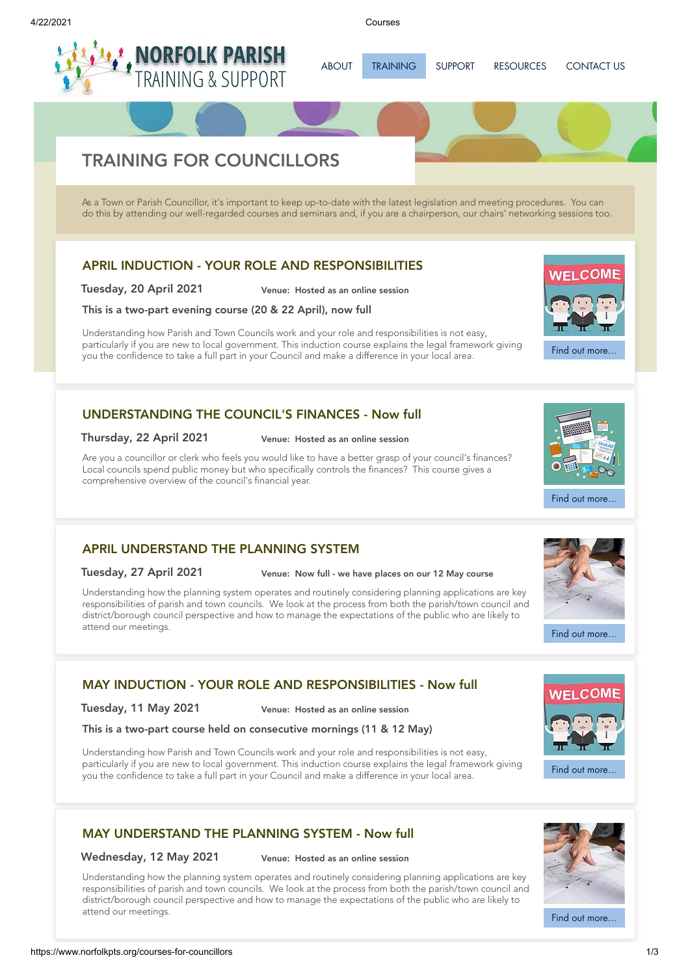ABOUT [TRAINING](https://www.norfolkpts.org/training) [SUPPORT](https://www.norfolkpts.org/support) [RESOURCES](https://www.norfolkpts.org/resources) [CONTACT](https://www.norfolkpts.org/courses-for-councillors) US

# TRAINING FOR COUNCILLORS

**[NORFOLK](https://www.norfolkpts.org/) PARISH**<br>TRAINING & SUPPORT

As a Town or Parish Councillor, it's important to keep up-to-date with the latest legislation and meeting procedures. You can do this by attending our well-regarded courses and seminars and, if you are a chairperson, our chairs' networking sessions too.

# APRIL INDUCTION - YOUR ROLE AND [RESPONSIBILITIES](https://www.norfolkpts.org/courses/APRIL-INDUCTION---YOUR-ROLE-AND-RESPONSIBILITIES)

Tuesday, 20 April 2021 Venue: Hosted as an online session

### This is a two-part evening course (20 & 22 April), now full

Understanding how Parish and Town Councils work and your role and responsibilities is not easy, particularly if you are new to local government. This induction course explains the legal framework giving you the confidence to take a full part in your Council and make a difference in your local area.

Find out [more...](https://www.norfolkpts.org/courses/APRIL-INDUCTION---YOUR-ROLE-AND-RESPONSIBILITIES)

**WELCOME** 

Find out [more...](https://www.norfolkpts.org/courses/UNDERSTANDING-THE-COUNCIL)

Find out [more...](https://www.norfolkpts.org/courses/APRIL-UNDERSTAND-THE-PLANNING-SYSTEM)

**WELCOME** 

# [UNDERSTANDING](https://www.norfolkpts.org/courses/UNDERSTANDING-THE-COUNCIL) THE COUNCIL'S FINANCES - Now full

Thursday, 22 April 2021 Venue: Hosted as an online session

Are you a councillor or clerk who feels you would like to have a better grasp of your council's finances? Local councils spend public money but who specifically controls the finances? This course gives a comprehensive overview of the council's financial year.

# APRIL [UNDERSTAND](https://www.norfolkpts.org/courses/APRIL-UNDERSTAND-THE-PLANNING-SYSTEM) THE PLANNING SYSTEM

### Tuesday, 27 April 2021 Venue: Now full - we have places on our 12 May course

Understanding how the planning system operates and routinely considering planning applications are key responsibilities of parish and town councils. We look at the process from both the parish/town council and district/borough council perspective and how to manage the expectations of the public who are likely to attend our meetings.



Tuesday, 11 May 2021 Venue: Hosted as an online session

This is a two-part course held on consecutive mornings (11 & 12 May)

Understanding how Parish and Town Councils work and your role and responsibilities is not easy, particularly if you are new to local government. This induction course explains the legal framework giving you the confidence to take a full part in your Council and make a difference in your local area.

# MAY [UNDERSTAND](https://www.norfolkpts.org/courses/MAY-UNDERSTAND-THE-PLANNING-SYSTEM---Now-full) THE PLANNING SYSTEM - Now full

Wednesday, 12 May 2021 Venue: Hosted as an online session

Understanding how the planning system operates and routinely considering planning applications are key responsibilities of parish and town councils. We look at the process from both the parish/town council and district/borough council perspective and how to manage the expectations of the public who are likely to attend our meetings.



Find out [more...](https://www.norfolkpts.org/courses/MAY-INDUCTION---YOUR-ROLE-AND-RESPONSIBILITIES---Now-full)

Find out [more...](https://www.norfolkpts.org/courses/MAY-UNDERSTAND-THE-PLANNING-SYSTEM---Now-full)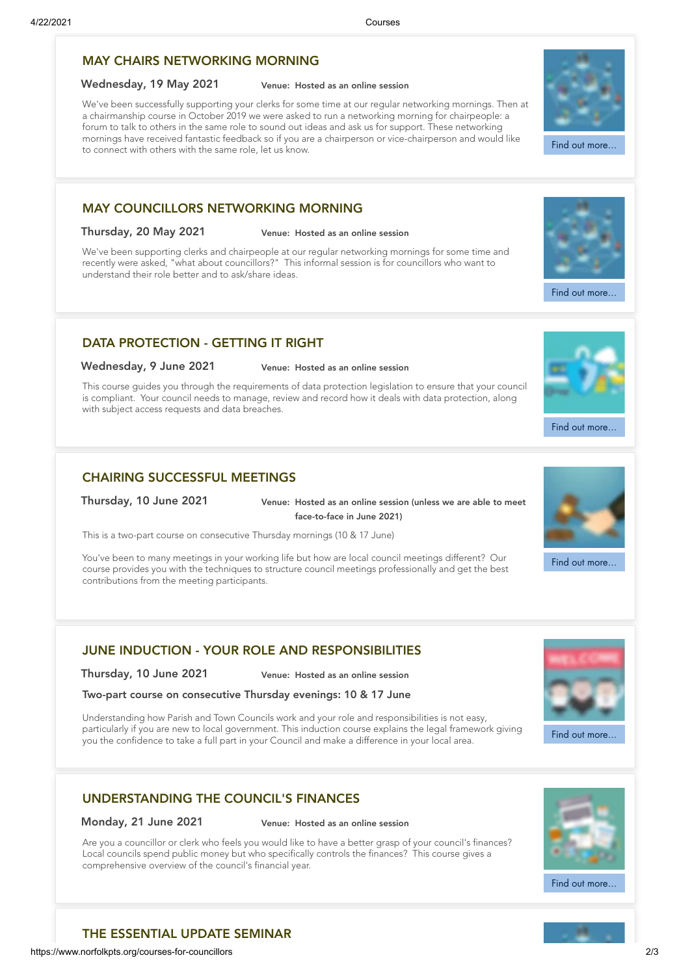# MAY CHAIRS [NETWORKING](https://www.norfolkpts.org/courses/MAY-CHAIRS-NETWORKING-MORNING) MORNING

### Wednesday, 19 May 2021 Venue: Hosted as an online session

We've been successfully supporting your clerks for some time at our regular networking mornings. Then at a chairmanship course in October 2019 we were asked to run a networking morning for chairpeople: a forum to talk to others in the same role to sound out ideas and ask us for support. These networking mornings have received fantastic feedback so if you are a chairperson or vice-chairperson and would like to connect with others with the same role, let us know.

### MAY [COUNCILLORS](https://www.norfolkpts.org/courses/MAY-COUNCILLORS-NETWORKING-MORNING) NETWORKING MORNING

### Thursday, 20 May 2021 Venue: Hosted as an online session

We've been supporting clerks and chairpeople at our regular networking mornings for some time and recently were asked, "what about councillors?" This informal session is for councillors who want to understand their role better and to ask/share ideas.

### DATA [PROTECTION](https://www.norfolkpts.org/courses/DATA-PROTECTION---GETTING-IT-RIGHT) - GETTING IT RIGHT

### Wednesday, 9 June 2021 Venue: Hosted as an online session

This course guides you through the requirements of data protection legislation to ensure that your council is compliant. Your council needs to manage, review and record how it deals with data protection, along with subject access requests and data breaches.

# CHAIRING [SUCCESSFUL](https://www.norfolkpts.org/courses/CHAIRING-SUCCESSFUL-MEETINGS) MEETINGS

Thursday, 10 June 2021 Venue: Hosted as an online session (unless we are able to meet face-to-face in June 2021)

This is a two-part course on consecutive Thursday mornings (10 & 17 June)

You've been to many meetings in your working life but how are local council meetings different? Our course provides you with the techniques to structure council meetings professionally and get the best contributions from the meeting participants.

# JUNE INDUCTION - YOUR ROLE AND [RESPONSIBILITIES](https://www.norfolkpts.org/courses/JUNE-INDUCTION---YOUR-ROLE-AND-RESPONSIBILITIES)

Thursday, 10 June 2021 Venue: Hosted as an online session

Two-part course on consecutive Thursday evenings: 10 & 17 June

Understanding how Parish and Town Councils work and your role and responsibilities is not easy, particularly if you are new to local government. This induction course explains the legal framework giving you the confidence to take a full part in your Council and make a difference in your local area.

# [UNDERSTANDING](https://www.norfolkpts.org/courses/UNDERSTANDING-THE-COUNCIL) THE COUNCIL'S FINANCES

Monday, 21 June 2021 Venue: Hosted as an online session

Are you a councillor or clerk who feels you would like to have a better grasp of your council's finances? Local councils spend public money but who specifically controls the finances? This course gives a comprehensive overview of the council's financial year.



Find out [more...](https://www.norfolkpts.org/courses/UNDERSTANDING-THE-COUNCIL)



THE [ESSENTIAL](https://www.norfolkpts.org/courses/THE-ESSENTIAL-UPDATE-SEMINAR) UPDATE SEMINAR





Find out [more...](https://www.norfolkpts.org/courses/CHAIRING-SUCCESSFUL-MEETINGS)



Find out [more...](https://www.norfolkpts.org/courses/MAY-CHAIRS-NETWORKING-MORNING)

Find out [more...](https://www.norfolkpts.org/courses/MAY-COUNCILLORS-NETWORKING-MORNING)